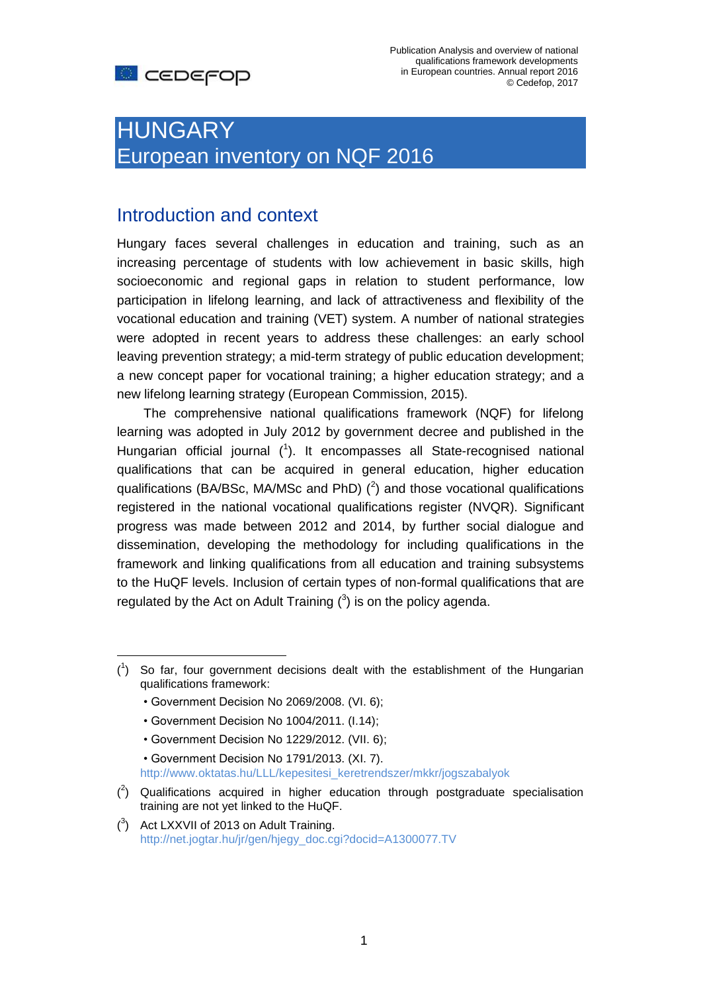# HUNGARY European inventory on NQF 2016

## Introduction and context

Hungary faces several challenges in education and training, such as an increasing percentage of students with low achievement in basic skills, high socioeconomic and regional gaps in relation to student performance, low participation in lifelong learning, and lack of attractiveness and flexibility of the vocational education and training (VET) system. A number of national strategies were adopted in recent years to address these challenges: an early school leaving prevention strategy; a mid-term strategy of public education development; a new concept paper for vocational training; a higher education strategy; and a new lifelong learning strategy (European Commission, 2015).

The comprehensive national qualifications framework (NQF) for lifelong learning was adopted in July 2012 by government decree and published in the Hungarian official journal  $(1)$ . It encompasses all State-recognised national qualifications that can be acquired in general education, higher education qualifications (BA/BSc, MA/MSc and PhD)  $(^2)$  and those vocational qualifications registered in the national vocational qualifications register (NVQR). Significant progress was made between 2012 and 2014, by further social dialogue and dissemination, developing the methodology for including qualifications in the framework and linking qualifications from all education and training subsystems to the HuQF levels. Inclusion of certain types of non-formal qualifications that are regulated by the Act on Adult Training  $(3)$  is on the policy agenda.

• Government Decision No 2069/2008. (VI. 6);

 $\overline{a}$ 

- Government Decision No 1004/2011. (I.14);
- Government Decision No 1229/2012. (VII. 6);
- Government Decision No 1791/2013. (XI. 7).

[http://www.oktatas.hu/LLL/kepesitesi\\_keretrendszer/mkkr/jogszabalyok](http://www.oktatas.hu/LLL/kepesitesi_keretrendszer/mkkr/jogszabalyok)

- $(2)$  Qualifications acquired in higher education through postgraduate specialisation training are not yet linked to the HuQF.
- $(3)$  Act LXXVII of 2013 on Adult Training. [http://net.jogtar.hu/jr/gen/hjegy\\_doc.cgi?docid=A1300077.TV](http://net.jogtar.hu/jr/gen/hjegy_doc.cgi?docid=A1300077.TV)

 $(1)$  So far, four government decisions dealt with the establishment of the Hungarian qualifications framework: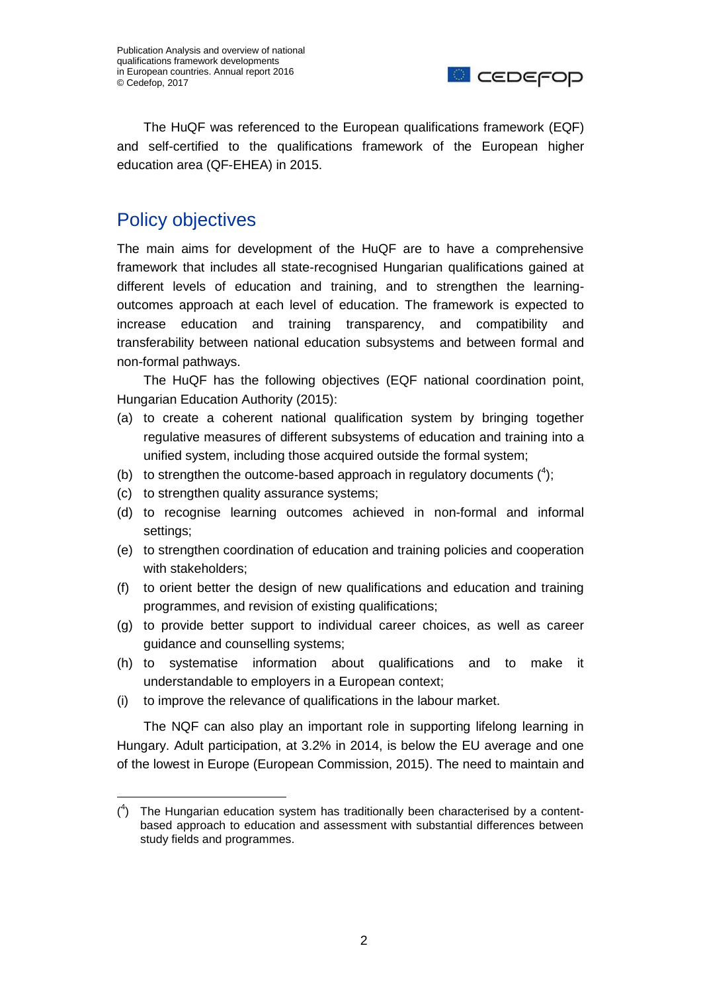

The HuQF was referenced to the European qualifications framework (EQF) and self-certified to the qualifications framework of the European higher education area (QF-EHEA) in 2015.

# Policy objectives

The main aims for development of the HuQF are to have a comprehensive framework that includes all state-recognised Hungarian qualifications gained at different levels of education and training, and to strengthen the learningoutcomes approach at each level of education. The framework is expected to increase education and training transparency, and compatibility and transferability between national education subsystems and between formal and non-formal pathways.

The HuQF has the following objectives (EQF national coordination point, Hungarian Education Authority (2015):

- (a) to create a coherent national qualification system by bringing together regulative measures of different subsystems of education and training into a unified system, including those acquired outside the formal system;
- (b) to strengthen the outcome-based approach in regulatory documents  $(4)$ ;
- (c) to strengthen quality assurance systems;
- (d) to recognise learning outcomes achieved in non-formal and informal settings;
- (e) to strengthen coordination of education and training policies and cooperation with stakeholders;
- (f) to orient better the design of new qualifications and education and training programmes, and revision of existing qualifications;
- (g) to provide better support to individual career choices, as well as career guidance and counselling systems;
- (h) to systematise information about qualifications and to make it understandable to employers in a European context;
- (i) to improve the relevance of qualifications in the labour market.

The NQF can also play an important role in supporting lifelong learning in Hungary. Adult participation, at 3.2% in 2014, is below the EU average and one of the lowest in Europe (European Commission, 2015). The need to maintain and

 $(1)$  The Hungarian education system has traditionally been characterised by a contentbased approach to education and assessment with substantial differences between study fields and programmes.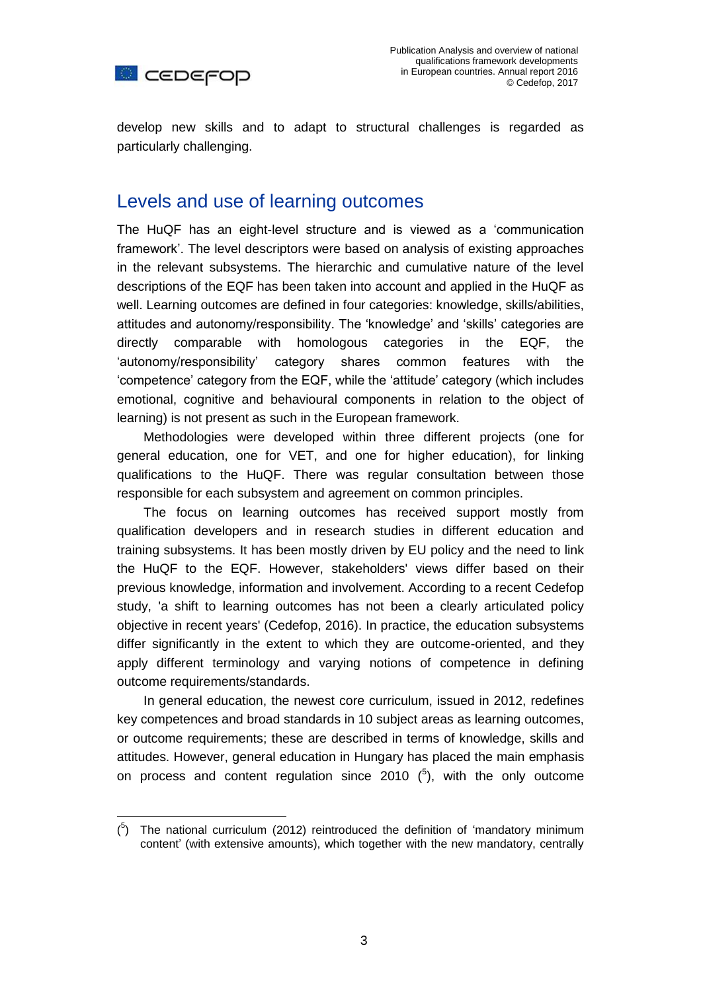

develop new skills and to adapt to structural challenges is regarded as particularly challenging.

#### Levels and use of learning outcomes

The HuQF has an eight-level structure and is viewed as a 'communication framework'. The level descriptors were based on analysis of existing approaches in the relevant subsystems. The hierarchic and cumulative nature of the level descriptions of the EQF has been taken into account and applied in the HuQF as well. Learning outcomes are defined in four categories: knowledge, skills/abilities, attitudes and autonomy/responsibility. The 'knowledge' and 'skills' categories are directly comparable with homologous categories in the EQF, the 'autonomy/responsibility' category shares common features with the 'competence' category from the EQF, while the 'attitude' category (which includes emotional, cognitive and behavioural components in relation to the object of learning) is not present as such in the European framework.

Methodologies were developed within three different projects (one for general education, one for VET, and one for higher education), for linking qualifications to the HuQF. There was regular consultation between those responsible for each subsystem and agreement on common principles.

The focus on learning outcomes has received support mostly from qualification developers and in research studies in different education and training subsystems. It has been mostly driven by EU policy and the need to link the HuQF to the EQF. However, stakeholders' views differ based on their previous knowledge, information and involvement. According to a recent Cedefop study, 'a shift to learning outcomes has not been a clearly articulated policy objective in recent years' (Cedefop, 2016). In practice, the education subsystems differ significantly in the extent to which they are outcome-oriented, and they apply different terminology and varying notions of competence in defining outcome requirements/standards.

In general education, the newest core curriculum, issued in 2012, redefines key competences and broad standards in 10 subject areas as learning outcomes, or outcome requirements; these are described in terms of knowledge, skills and attitudes. However, general education in Hungary has placed the main emphasis on process and content regulation since 2010  $(^5)$ , with the only outcome

 $\overline{a}$  $(5)$  The national curriculum (2012) reintroduced the definition of 'mandatory minimum content' (with extensive amounts), which together with the new mandatory, centrally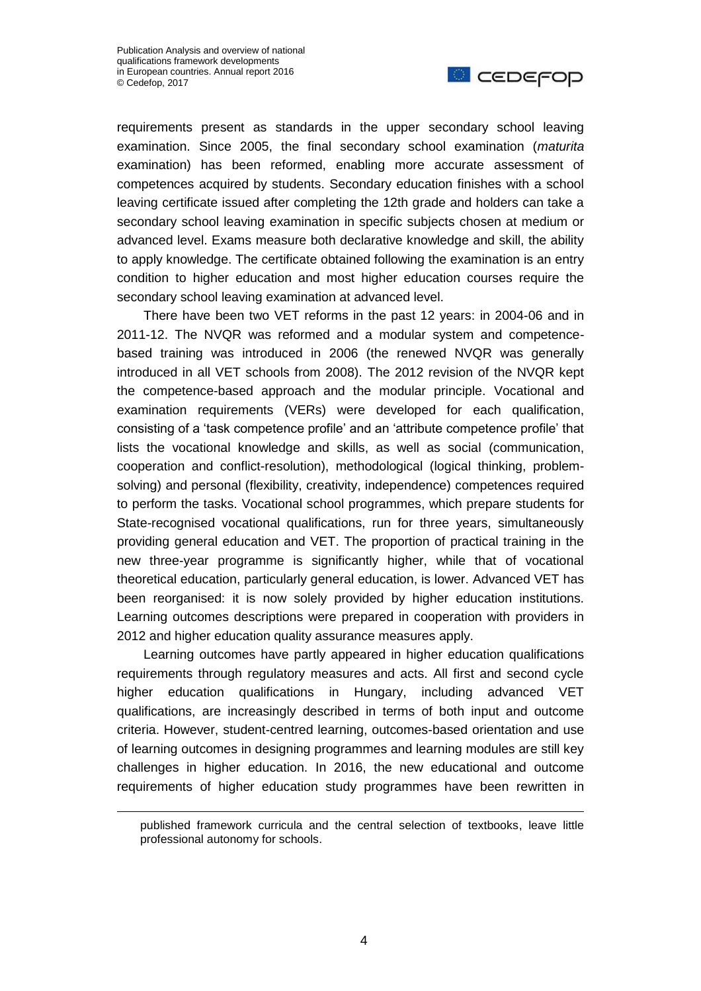1



requirements present as standards in the upper secondary school leaving examination. Since 2005, the final secondary school examination (*maturita* examination) has been reformed, enabling more accurate assessment of competences acquired by students. Secondary education finishes with a school leaving certificate issued after completing the 12th grade and holders can take a secondary school leaving examination in specific subjects chosen at medium or advanced level. Exams measure both declarative knowledge and skill, the ability to apply knowledge. The certificate obtained following the examination is an entry condition to higher education and most higher education courses require the secondary school leaving examination at advanced level.

There have been two VET reforms in the past 12 years: in 2004-06 and in 2011-12. The NVQR was reformed and a modular system and competencebased training was introduced in 2006 (the renewed NVQR was generally introduced in all VET schools from 2008). The 2012 revision of the NVQR kept the competence-based approach and the modular principle. Vocational and examination requirements (VERs) were developed for each qualification, consisting of a 'task competence profile' and an 'attribute competence profile' that lists the vocational knowledge and skills, as well as social (communication, cooperation and conflict-resolution), methodological (logical thinking, problemsolving) and personal (flexibility, creativity, independence) competences required to perform the tasks. Vocational school programmes, which prepare students for State-recognised vocational qualifications, run for three years, simultaneously providing general education and VET. The proportion of practical training in the new three-year programme is significantly higher, while that of vocational theoretical education, particularly general education, is lower. Advanced VET has been reorganised: it is now solely provided by higher education institutions. Learning outcomes descriptions were prepared in cooperation with providers in 2012 and higher education quality assurance measures apply.

Learning outcomes have partly appeared in higher education qualifications requirements through regulatory measures and acts. All first and second cycle higher education qualifications in Hungary, including advanced VET qualifications, are increasingly described in terms of both input and outcome criteria. However, student-centred learning, outcomes-based orientation and use of learning outcomes in designing programmes and learning modules are still key challenges in higher education. In 2016, the new educational and outcome requirements of higher education study programmes have been rewritten in

published framework curricula and the central selection of textbooks, leave little professional autonomy for schools.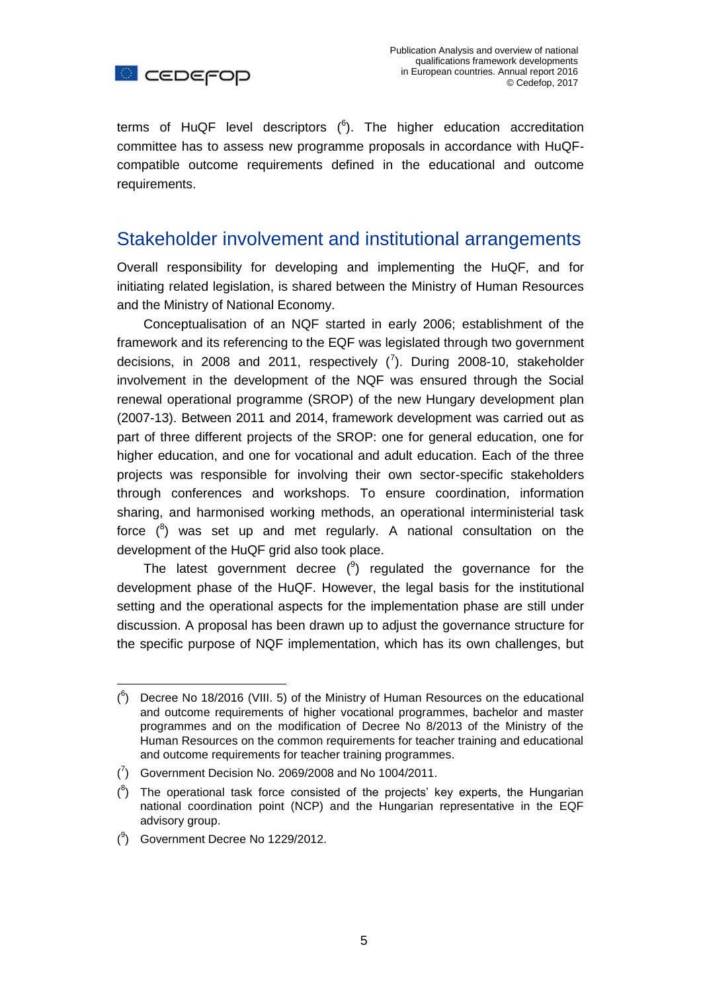

terms of HuQF level descriptors  $(^6)$ . The higher education accreditation committee has to assess new programme proposals in accordance with HuQFcompatible outcome requirements defined in the educational and outcome requirements.

#### Stakeholder involvement and institutional arrangements

Overall responsibility for developing and implementing the HuQF, and for initiating related legislation, is shared between the Ministry of Human Resources and the Ministry of National Economy.

Conceptualisation of an NQF started in early 2006; establishment of the framework and its referencing to the EQF was legislated through two government decisions, in 2008 and 2011, respectively  $\binom{7}{1}$ . During 2008-10, stakeholder involvement in the development of the NQF was ensured through the Social renewal operational programme (SROP) of the new Hungary development plan (2007-13). Between 2011 and 2014, framework development was carried out as part of three different projects of the SROP: one for general education, one for higher education, and one for vocational and adult education. Each of the three projects was responsible for involving their own sector-specific stakeholders through conferences and workshops. To ensure coordination, information sharing, and harmonised working methods, an operational interministerial task force  $(^{8})$  was set up and met regularly. A national consultation on the development of the HuQF grid also took place.

The latest government decree  $(9)$  regulated the governance for the development phase of the HuQF. However, the legal basis for the institutional setting and the operational aspects for the implementation phase are still under discussion. A proposal has been drawn up to adjust the governance structure for the specific purpose of NQF implementation, which has its own challenges, but

 $\binom{7}{1}$  Government Decision No. 2069/2008 and No 1004/2011.

( 9 ) Government Decree No 1229/2012.

 $\overline{a}$ 

 $(6)$  Decree No 18/2016 (VIII. 5) of the Ministry of Human Resources on the educational and outcome requirements of higher vocational programmes, bachelor and master programmes and on the modification of Decree No 8/2013 of the Ministry of the Human Resources on the common requirements for teacher training and educational and outcome requirements for teacher training programmes.

 $(3)$  The operational task force consisted of the projects' key experts, the Hungarian national coordination point (NCP) and the Hungarian representative in the EQF advisory group.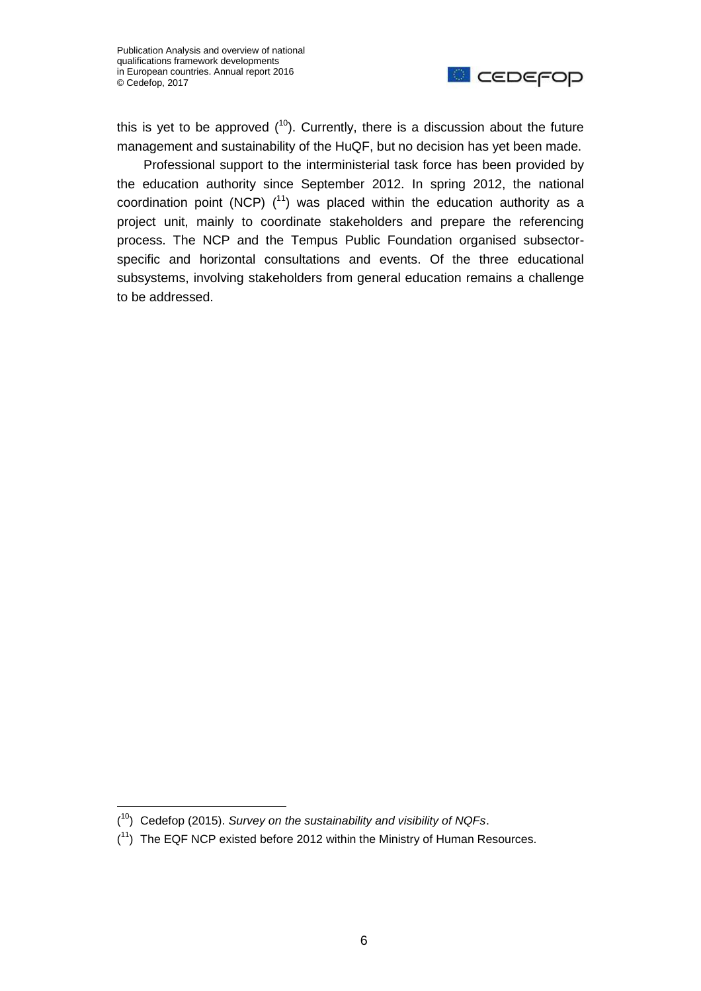

this is yet to be approved  $(10)$ . Currently, there is a discussion about the future management and sustainability of the HuQF, but no decision has yet been made.

Professional support to the interministerial task force has been provided by the education authority since September 2012. In spring 2012, the national coordination point (NCP)  $(^{11})$  was placed within the education authority as a project unit, mainly to coordinate stakeholders and prepare the referencing process. The NCP and the Tempus Public Foundation organised subsectorspecific and horizontal consultations and events. Of the three educational subsystems, involving stakeholders from general education remains a challenge to be addressed.

<sup>(</sup> <sup>10</sup>) Cedefop (2015). *Survey on the sustainability and visibility of NQFs*.

 $(1)$  The EQF NCP existed before 2012 within the Ministry of Human Resources.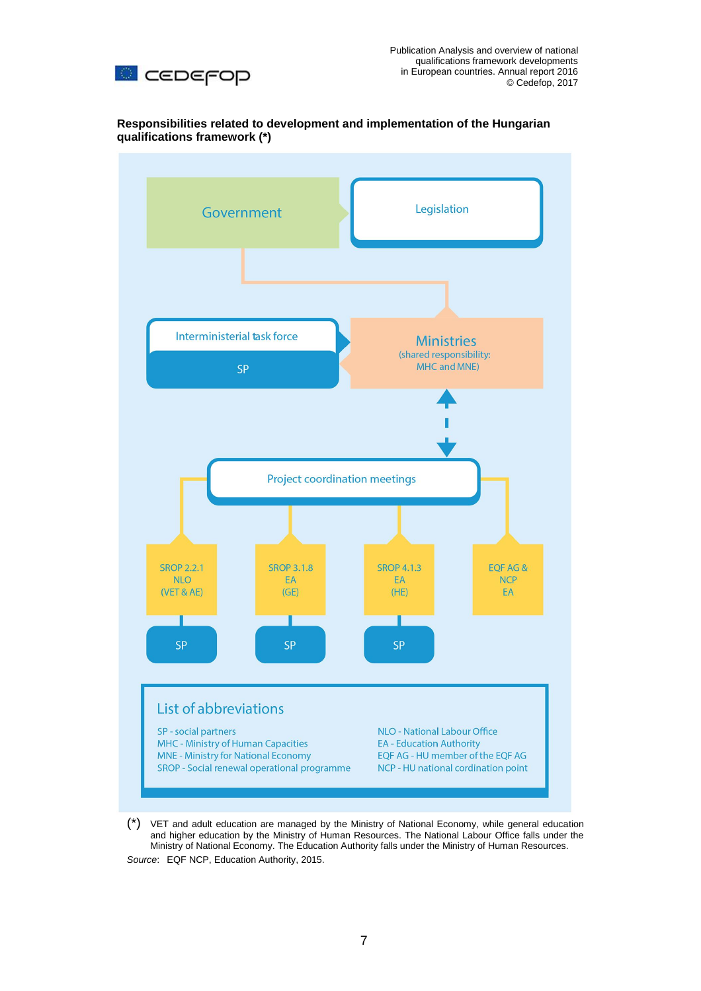

**Responsibilities related to development and implementation of the Hungarian qualifications framework (\*)**



(\*) VET and adult education are managed by the Ministry of National Economy, while general education and higher education by the Ministry of Human Resources. The National Labour Office falls under the Ministry of National Economy. The Education Authority falls under the Ministry of Human Resources. *Source*: EQF NCP, Education Authority, 2015.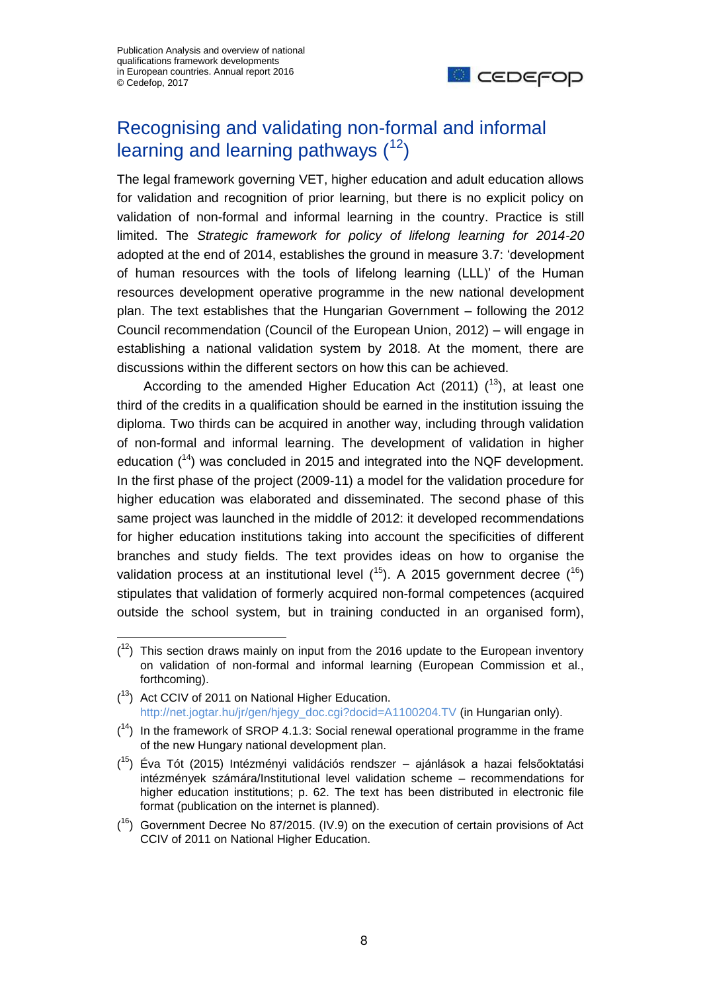$\overline{a}$ 



# Recognising and validating non-formal and informal learning and learning pathways  $(12)$

The legal framework governing VET, higher education and adult education allows for validation and recognition of prior learning, but there is no explicit policy on validation of non-formal and informal learning in the country. Practice is still limited. The *Strategic framework for policy of lifelong learning for 2014-20* adopted at the end of 2014, establishes the ground in measure 3.7: 'development of human resources with the tools of lifelong learning (LLL)' of the Human resources development operative programme in the new national development plan. The text establishes that the Hungarian Government – following the 2012 Council recommendation (Council of the European Union, 2012) – will engage in establishing a national validation system by 2018. At the moment, there are discussions within the different sectors on how this can be achieved.

According to the amended Higher Education Act (2011)  $(^{13})$ , at least one third of the credits in a qualification should be earned in the institution issuing the diploma. Two thirds can be acquired in another way, including through validation of non-formal and informal learning. The development of validation in higher education  $(14)$  was concluded in 2015 and integrated into the NQF development. In the first phase of the project (2009-11) a model for the validation procedure for higher education was elaborated and disseminated. The second phase of this same project was launched in the middle of 2012: it developed recommendations for higher education institutions taking into account the specificities of different branches and study fields. The text provides ideas on how to organise the validation process at an institutional level  $(^{15})$ . A 2015 government decree  $(^{16})$ stipulates that validation of formerly acquired non-formal competences (acquired outside the school system, but in training conducted in an organised form),

 $(1<sup>2</sup>)$  This section draws mainly on input from the 2016 update to the European inventory on validation of non-formal and informal learning (European Commission et al., forthcoming).

 $(13)$  Act CCIV of 2011 on National Higher Education. [http://net.jogtar.hu/jr/gen/hjegy\\_doc.cgi?docid=A1100204.TV](http://net.jogtar.hu/jr/gen/hjegy_doc.cgi?docid=A1100204.TV) (in Hungarian only).

 $(14)$  In the framework of SROP 4.1.3: Social renewal operational programme in the frame of the new Hungary national development plan.

<sup>(&</sup>lt;sup>15</sup>) Éva Tót (2015) Intézményi validációs rendszer – ajánlások a hazai felsőoktatási intézmények számára/Institutional level validation scheme – recommendations for higher education institutions; p. 62. The text has been distributed in electronic file format (publication on the internet is planned).

 $(16)$  Government Decree No 87/2015. (IV.9) on the execution of certain provisions of Act CCIV of 2011 on National Higher Education.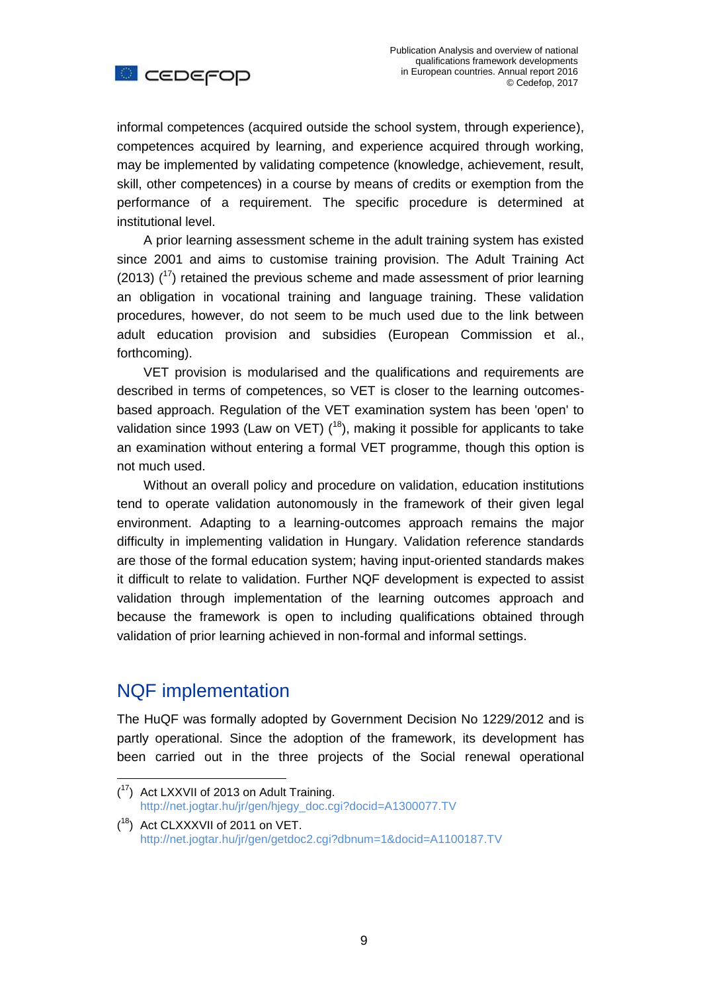

informal competences (acquired outside the school system, through experience), competences acquired by learning, and experience acquired through working, may be implemented by validating competence (knowledge, achievement, result, skill, other competences) in a course by means of credits or exemption from the performance of a requirement. The specific procedure is determined at institutional level.

A prior learning assessment scheme in the adult training system has existed since 2001 and aims to customise training provision. The Adult Training Act  $(2013)$   $(17)$  retained the previous scheme and made assessment of prior learning an obligation in vocational training and language training. These validation procedures, however, do not seem to be much used due to the link between adult education provision and subsidies (European Commission et al., forthcoming).

VET provision is modularised and the qualifications and requirements are described in terms of competences, so VET is closer to the learning outcomesbased approach. Regulation of the VET examination system has been 'open' to validation since 1993 (Law on VET)  $(18)$ , making it possible for applicants to take an examination without entering a formal VET programme, though this option is not much used.

Without an overall policy and procedure on validation, education institutions tend to operate validation autonomously in the framework of their given legal environment. Adapting to a learning-outcomes approach remains the major difficulty in implementing validation in Hungary. Validation reference standards are those of the formal education system; having input-oriented standards makes it difficult to relate to validation. Further NQF development is expected to assist validation through implementation of the learning outcomes approach and because the framework is open to including qualifications obtained through validation of prior learning achieved in non-formal and informal settings.

#### NQF implementation

 $\overline{a}$ 

The HuQF was formally adopted by Government Decision No 1229/2012 and is partly operational. Since the adoption of the framework, its development has been carried out in the three projects of the Social renewal operational

 $(17)$  Act LXXVII of 2013 on Adult Training. [http://net.jogtar.hu/jr/gen/hjegy\\_doc.cgi?docid=A1300077.TV](http://net.jogtar.hu/jr/gen/hjegy_doc.cgi?docid=A1300077.TV)

 $(18)$  Act CLXXXVII of 2011 on VET. <http://net.jogtar.hu/jr/gen/getdoc2.cgi?dbnum=1&docid=A1100187.TV>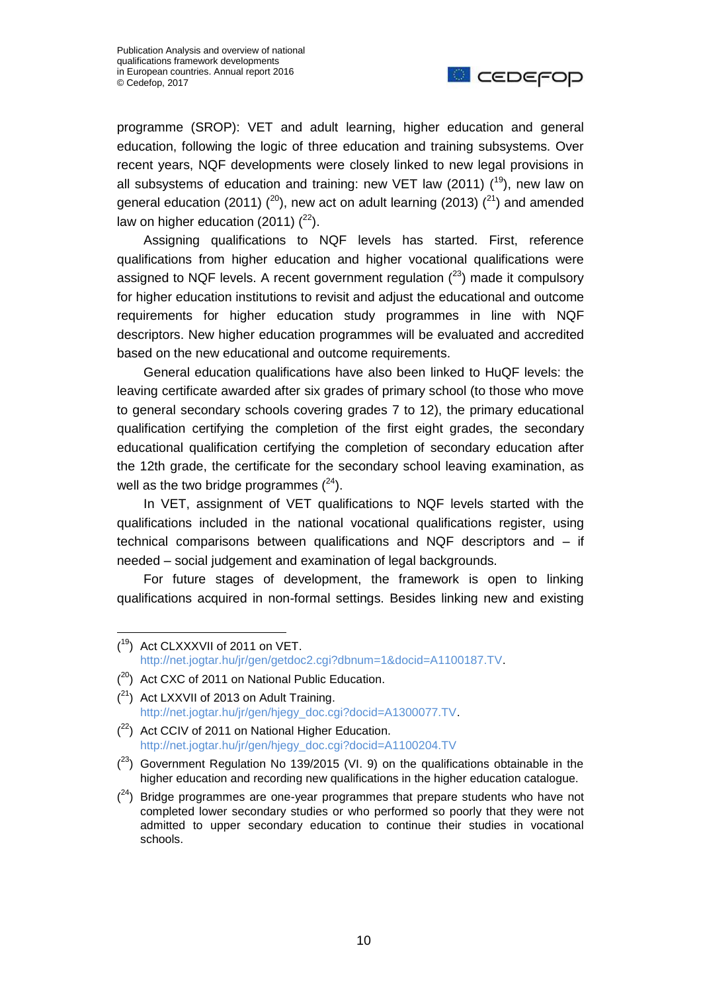

programme (SROP): VET and adult learning, higher education and general education, following the logic of three education and training subsystems. Over recent years, NQF developments were closely linked to new legal provisions in all subsystems of education and training: new VET law (2011)  $(19)$ , new law on general education (2011) (<sup>20</sup>), new act on adult learning (2013) (<sup>21</sup>) and amended law on higher education (2011)  $(^{22})$ .

Assigning qualifications to NQF levels has started. First, reference qualifications from higher education and higher vocational qualifications were assigned to NQF levels. A recent government regulation  $(^{23})$  made it compulsory for higher education institutions to revisit and adjust the educational and outcome requirements for higher education study programmes in line with NQF descriptors. New higher education programmes will be evaluated and accredited based on the new educational and outcome requirements.

General education qualifications have also been linked to HuQF levels: the leaving certificate awarded after six grades of primary school (to those who move to general secondary schools covering grades 7 to 12), the primary educational qualification certifying the completion of the first eight grades, the secondary educational qualification certifying the completion of secondary education after the 12th grade, the certificate for the secondary school leaving examination, as well as the two bridge programmes  $(^{24})$ .

In VET, assignment of VET qualifications to NQF levels started with the qualifications included in the national vocational qualifications register, using technical comparisons between qualifications and NQF descriptors and – if needed – social judgement and examination of legal backgrounds.

For future stages of development, the framework is open to linking qualifications acquired in non-formal settings. Besides linking new and existing

- $(2<sup>1</sup>)$  Act LXXVII of 2013 on Adult Training. [http://net.jogtar.hu/jr/gen/hjegy\\_doc.cgi?docid=A1300077.TV.](http://net.jogtar.hu/jr/gen/hjegy_doc.cgi?docid=A1300077.TV)
- $(2^2)$  Act CCIV of 2011 on National Higher Education. [http://net.jogtar.hu/jr/gen/hjegy\\_doc.cgi?docid=A1100204.TV](http://net.jogtar.hu/jr/gen/hjegy_doc.cgi?docid=A1100204.TV)
- $(2^3)$  Government Regulation No 139/2015 (VI. 9) on the qualifications obtainable in the higher education and recording new qualifications in the higher education catalogue.
- $(24)$  Bridge programmes are one-year programmes that prepare students who have not completed lower secondary studies or who performed so poorly that they were not admitted to upper secondary education to continue their studies in vocational schools.

 $\overline{a}$ ( <sup>19</sup>) Act CLXXXVII of 2011 on VET. [http://net.jogtar.hu/jr/gen/getdoc2.cgi?dbnum=1&docid=A1100187.TV.](http://net.jogtar.hu/jr/gen/getdoc2.cgi?dbnum=1&docid=A1100187.TV)

 $(20)$  Act CXC of 2011 on National Public Education.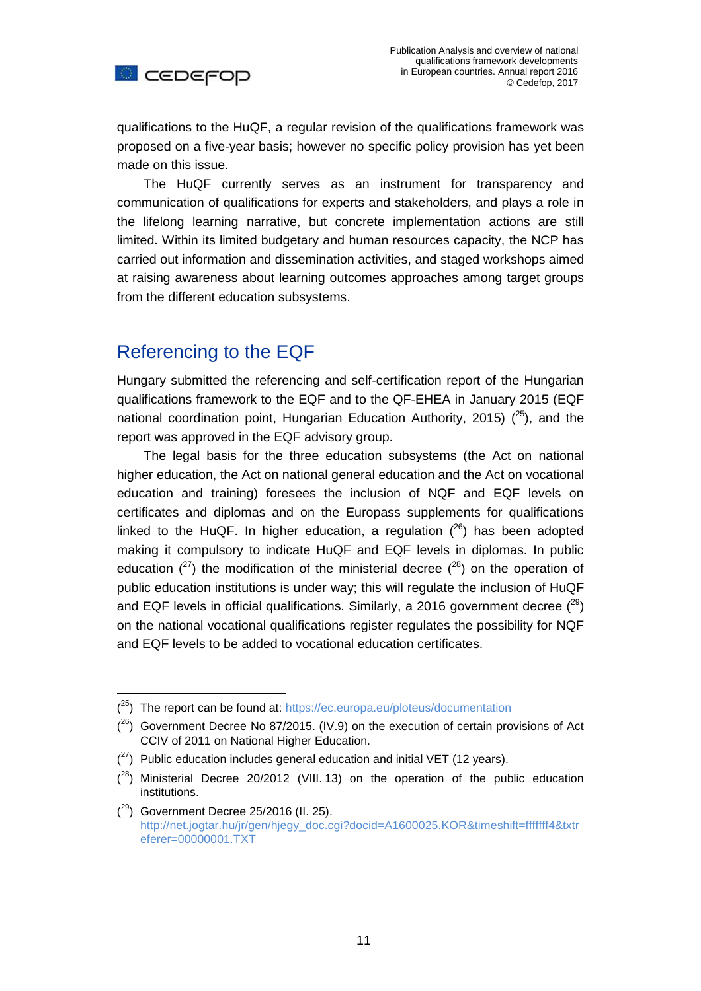

qualifications to the HuQF, a regular revision of the qualifications framework was proposed on a five-year basis; however no specific policy provision has yet been made on this issue.

The HuQF currently serves as an instrument for transparency and communication of qualifications for experts and stakeholders, and plays a role in the lifelong learning narrative, but concrete implementation actions are still limited. Within its limited budgetary and human resources capacity, the NCP has carried out information and dissemination activities, and staged workshops aimed at raising awareness about learning outcomes approaches among target groups from the different education subsystems.

# Referencing to the EQF

 $\overline{a}$ 

Hungary submitted the referencing and self-certification report of the Hungarian qualifications framework to the EQF and to the QF-EHEA in January 2015 (EQF national coordination point, Hungarian Education Authority, 2015)  $(^{25})$ , and the report was approved in the EQF advisory group.

The legal basis for the three education subsystems (the Act on national higher education, the Act on national general education and the Act on vocational education and training) foresees the inclusion of NQF and EQF levels on certificates and diplomas and on the Europass supplements for qualifications linked to the HuQF. In higher education, a regulation  $(26)$  has been adopted making it compulsory to indicate HuQF and EQF levels in diplomas. In public education  $(^{27})$  the modification of the ministerial decree  $(^{28})$  on the operation of public education institutions is under way; this will regulate the inclusion of HuQF and EQF levels in official qualifications. Similarly, a 2016 government decree  $(^{29})$ on the national vocational qualifications register regulates the possibility for NQF and EQF levels to be added to vocational education certificates.

 $(25)$  The report can be found at:<https://ec.europa.eu/ploteus/documentation>

 $(2^6)$  Government Decree No 87/2015. (IV.9) on the execution of certain provisions of Act CCIV of 2011 on National Higher Education.

 $(27)$  Public education includes general education and initial VET (12 years).

 $(28)$  Ministerial Decree 20/2012 (VIII. 13) on the operation of the public education institutions.

 $(29)$  Government Decree 25/2016 (II. 25). [http://net.jogtar.hu/jr/gen/hjegy\\_doc.cgi?docid=A1600025.KOR&timeshift=fffffff4&txtr](http://net.jogtar.hu/jr/gen/hjegy_doc.cgi?docid=A1600025.KOR×hift=fffffff4&txtreferer=00000001.TXT) [eferer=00000001.TXT](http://net.jogtar.hu/jr/gen/hjegy_doc.cgi?docid=A1600025.KOR×hift=fffffff4&txtreferer=00000001.TXT)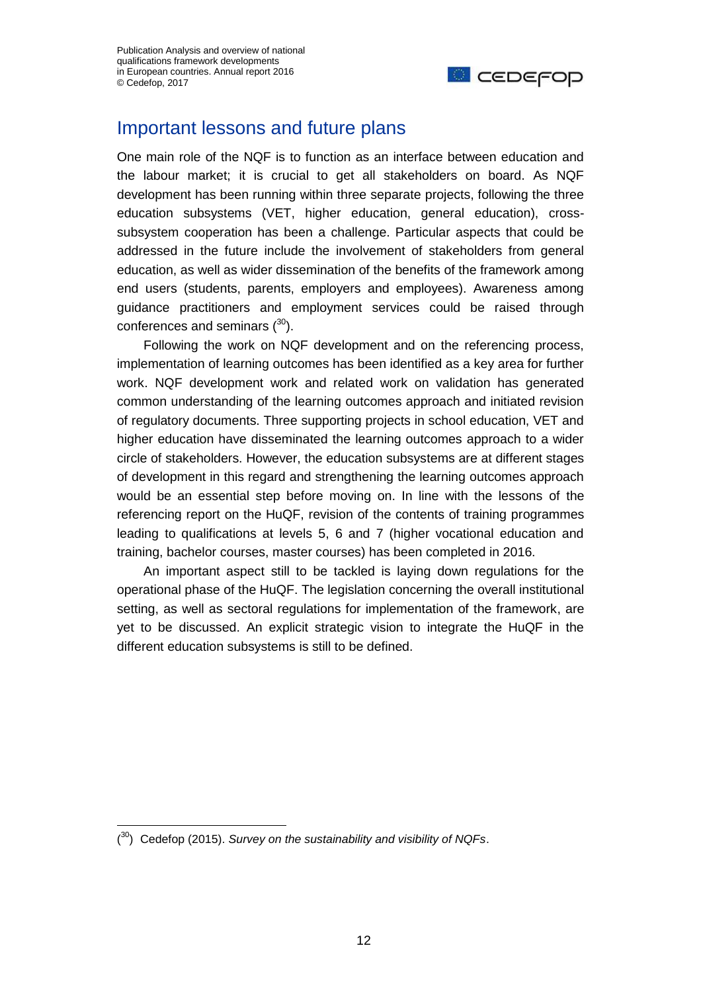

## Important lessons and future plans

One main role of the NQF is to function as an interface between education and the labour market; it is crucial to get all stakeholders on board. As NQF development has been running within three separate projects, following the three education subsystems (VET, higher education, general education), crosssubsystem cooperation has been a challenge. Particular aspects that could be addressed in the future include the involvement of stakeholders from general education, as well as wider dissemination of the benefits of the framework among end users (students, parents, employers and employees). Awareness among guidance practitioners and employment services could be raised through conferences and seminars  $(30)$ .

Following the work on NQF development and on the referencing process, implementation of learning outcomes has been identified as a key area for further work. NQF development work and related work on validation has generated common understanding of the learning outcomes approach and initiated revision of regulatory documents. Three supporting projects in school education, VET and higher education have disseminated the learning outcomes approach to a wider circle of stakeholders. However, the education subsystems are at different stages of development in this regard and strengthening the learning outcomes approach would be an essential step before moving on. In line with the lessons of the referencing report on the HuQF, revision of the contents of training programmes leading to qualifications at levels 5, 6 and 7 (higher vocational education and training, bachelor courses, master courses) has been completed in 2016.

An important aspect still to be tackled is laying down regulations for the operational phase of the HuQF. The legislation concerning the overall institutional setting, as well as sectoral regulations for implementation of the framework, are yet to be discussed. An explicit strategic vision to integrate the HuQF in the different education subsystems is still to be defined.

<sup>(</sup> <sup>30</sup>) Cedefop (2015). *Survey on the sustainability and visibility of NQFs*.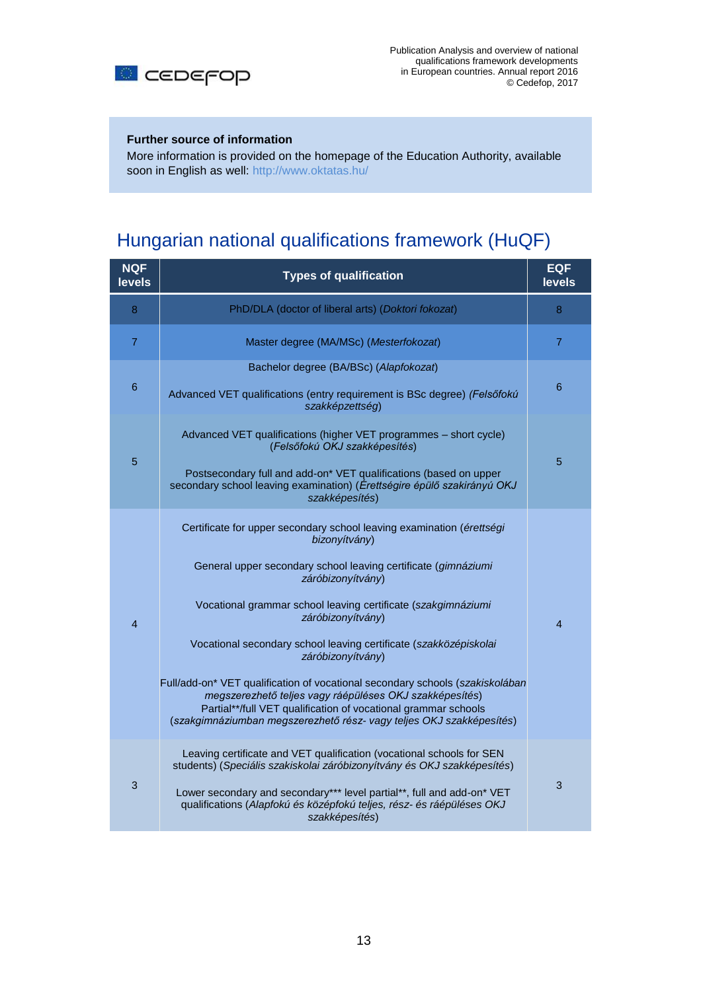

#### **Further source of information**

More information is provided on the homepage of the Education Authority, available soon in English as well:<http://www.oktatas.hu/>

# Hungarian national qualifications framework (HuQF)

| <b>NQF</b><br><b>levels</b> | <b>Types of qualification</b>                                                                                                                                                                                                                                                                                                                                                                                                                                                                                                                                                                                                                       | <b>EQF</b><br>levels     |
|-----------------------------|-----------------------------------------------------------------------------------------------------------------------------------------------------------------------------------------------------------------------------------------------------------------------------------------------------------------------------------------------------------------------------------------------------------------------------------------------------------------------------------------------------------------------------------------------------------------------------------------------------------------------------------------------------|--------------------------|
| 8                           | PhD/DLA (doctor of liberal arts) (Doktori fokozat)                                                                                                                                                                                                                                                                                                                                                                                                                                                                                                                                                                                                  | 8                        |
| $\overline{7}$              | Master degree (MA/MSc) (Mesterfokozat)                                                                                                                                                                                                                                                                                                                                                                                                                                                                                                                                                                                                              | 7                        |
| $6\phantom{1}$              | Bachelor degree (BA/BSc) (Alapfokozat)<br>Advanced VET qualifications (entry requirement is BSc degree) (Felsőfokú<br>szakképzettség)                                                                                                                                                                                                                                                                                                                                                                                                                                                                                                               | $6\phantom{1}6$          |
| 5                           | Advanced VET qualifications (higher VET programmes - short cycle)<br>(Felsőfokú OKJ szakképesítés)<br>Postsecondary full and add-on* VET qualifications (based on upper<br>secondary school leaving examination) (Érettségire épülő szakirányú OKJ<br>szakképesítés)                                                                                                                                                                                                                                                                                                                                                                                | 5                        |
| $\overline{4}$              | Certificate for upper secondary school leaving examination (érettségi<br>bizonyítvány)<br>General upper secondary school leaving certificate (gimnáziumi<br>záróbizonyítvány)<br>Vocational grammar school leaving certificate (szakgimnáziumi<br>záróbizonyítvány)<br>Vocational secondary school leaving certificate (szakközépiskolai<br>záróbizonyítvány)<br>Full/add-on* VET qualification of vocational secondary schools (szakiskolában<br>megszerezhető teljes vagy ráépüléses OKJ szakképesítés)<br>Partial**/full VET qualification of vocational grammar schools<br>(szakgimnáziumban megszerezhető rész- vagy teljes OKJ szakképesítés) | $\overline{\mathcal{L}}$ |
| 3                           | Leaving certificate and VET qualification (vocational schools for SEN<br>students) (Speciális szakiskolai záróbizonyítvány és OKJ szakképesítés)<br>Lower secondary and secondary*** level partial**, full and add-on* VET<br>qualifications (Alapfokú és középfokú teljes, rész- és ráépüléses OKJ<br>szakképesítés)                                                                                                                                                                                                                                                                                                                               | 3                        |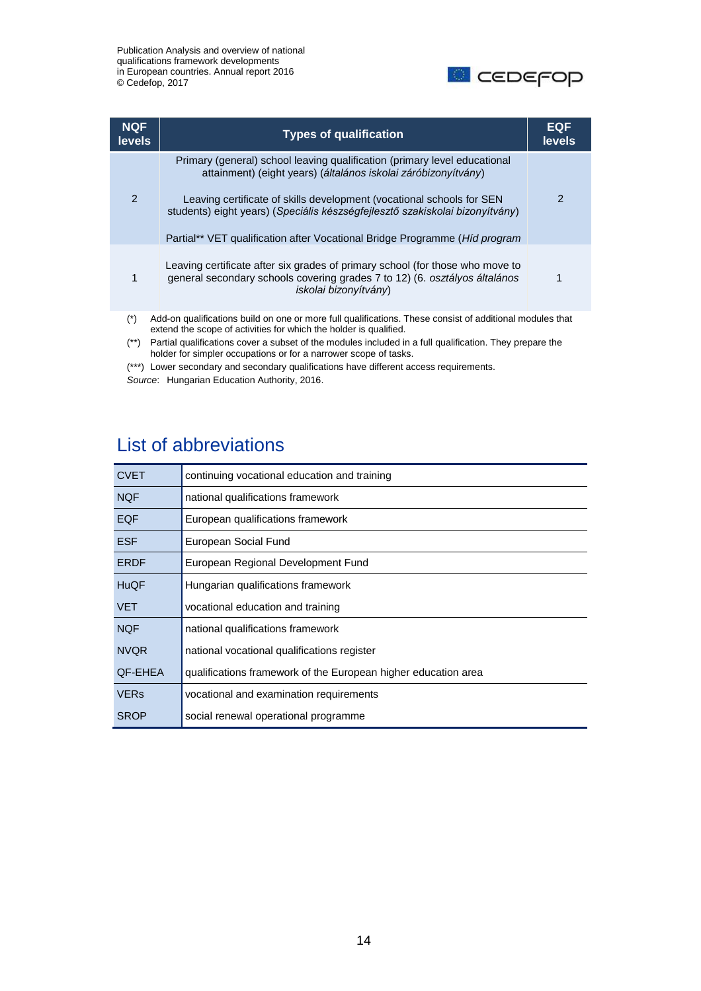

| <b>NQF</b><br><b>levels</b> | <b>Types of qualification</b>                                                                                                                                                                                                                                                                                                                                                              | <b>EQF</b><br><b>levels</b> |
|-----------------------------|--------------------------------------------------------------------------------------------------------------------------------------------------------------------------------------------------------------------------------------------------------------------------------------------------------------------------------------------------------------------------------------------|-----------------------------|
| 2                           | Primary (general) school leaving qualification (primary level educational<br>attainment) (eight years) (általános iskolai záróbizonyítvány)<br>Leaving certificate of skills development (vocational schools for SEN<br>students) eight years) (Speciális készségfejlesztő szakiskolai bizonyítvány)<br>Partial** VET qualification after Vocational Bridge Programme ( <i>Hid program</i> | 2                           |
| 1                           | Leaving certificate after six grades of primary school (for those who move to<br>general secondary schools covering grades 7 to 12) (6. osztályos általános<br>iskolai bizonyítvány)                                                                                                                                                                                                       |                             |
| $(*)$                       | Add-on qualifications build on one or more full qualifications. These consist of additional modules that<br>extend the scope of activities for which the holder is qualified.                                                                                                                                                                                                              |                             |

(\*\*) Partial qualifications cover a subset of the modules included in a full qualification. They prepare the holder for simpler occupations or for a narrower scope of tasks.

(\*\*\*) Lower secondary and secondary qualifications have different access requirements.

*Source*: Hungarian Education Authority, 2016.

# List of abbreviations

| <b>CVET</b> | continuing vocational education and training                   |
|-------------|----------------------------------------------------------------|
| <b>NQF</b>  | national qualifications framework                              |
| <b>EQF</b>  | European qualifications framework                              |
| <b>ESF</b>  | European Social Fund                                           |
| <b>ERDF</b> | European Regional Development Fund                             |
| <b>HuQF</b> | Hungarian qualifications framework                             |
| <b>VET</b>  | vocational education and training                              |
| <b>NQF</b>  | national qualifications framework                              |
| <b>NVQR</b> | national vocational qualifications register                    |
| QF-EHEA     | qualifications framework of the European higher education area |
| <b>VERs</b> | vocational and examination requirements                        |
| <b>SROP</b> | social renewal operational programme                           |